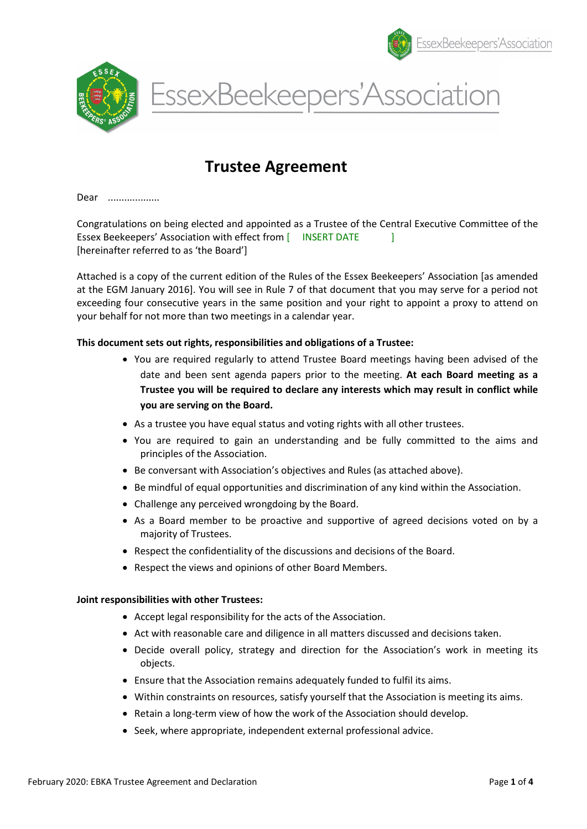





# Trustee Agreement

Dear ...................

Congratulations on being elected and appointed as a Trustee of the Central Executive Committee of the Essex Beekeepers' Association with effect from [ INSERT DATE ] [hereinafter referred to as 'the Board']

Attached is a copy of the current edition of the Rules of the Essex Beekeepers' Association [as amended at the EGM January 2016]. You will see in Rule 7 of that document that you may serve for a period not exceeding four consecutive years in the same position and your right to appoint a proxy to attend on your behalf for not more than two meetings in a calendar year.

#### This document sets out rights, responsibilities and obligations of a Trustee:

- You are required regularly to attend Trustee Board meetings having been advised of the date and been sent agenda papers prior to the meeting. At each Board meeting as a Trustee you will be required to declare any interests which may result in conflict while you are serving on the Board.
- As a trustee you have equal status and voting rights with all other trustees.
- You are required to gain an understanding and be fully committed to the aims and principles of the Association.
- Be conversant with Association's objectives and Rules (as attached above).
- Be mindful of equal opportunities and discrimination of any kind within the Association.
- Challenge any perceived wrongdoing by the Board.
- As a Board member to be proactive and supportive of agreed decisions voted on by a majority of Trustees.
- Respect the confidentiality of the discussions and decisions of the Board.
- Respect the views and opinions of other Board Members.

#### Joint responsibilities with other Trustees:

- Accept legal responsibility for the acts of the Association.
- Act with reasonable care and diligence in all matters discussed and decisions taken.
- Decide overall policy, strategy and direction for the Association's work in meeting its objects.
- Ensure that the Association remains adequately funded to fulfil its aims.
- Within constraints on resources, satisfy yourself that the Association is meeting its aims.
- Retain a long-term view of how the work of the Association should develop.
- Seek, where appropriate, independent external professional advice.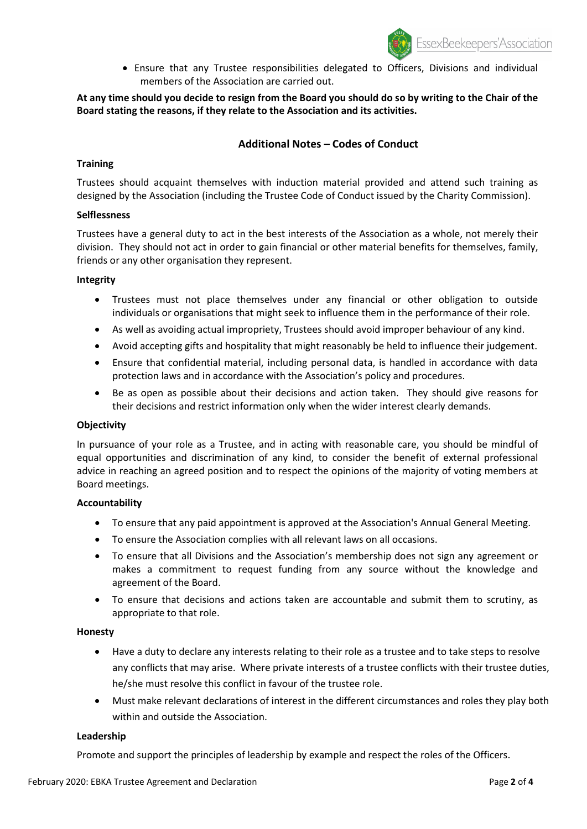Ensure that any Trustee responsibilities delegated to Officers, Divisions and individual members of the Association are carried out.

## At any time should you decide to resign from the Board you should do so by writing to the Chair of the Board stating the reasons, if they relate to the Association and its activities.

## Additional Notes – Codes of Conduct

### **Training**

Trustees should acquaint themselves with induction material provided and attend such training as designed by the Association (including the Trustee Code of Conduct issued by the Charity Commission).

#### Selflessness

Trustees have a general duty to act in the best interests of the Association as a whole, not merely their division. They should not act in order to gain financial or other material benefits for themselves, family, friends or any other organisation they represent.

#### Integrity

- Trustees must not place themselves under any financial or other obligation to outside individuals or organisations that might seek to influence them in the performance of their role.
- As well as avoiding actual impropriety, Trustees should avoid improper behaviour of any kind.
- Avoid accepting gifts and hospitality that might reasonably be held to influence their judgement.
- Ensure that confidential material, including personal data, is handled in accordance with data protection laws and in accordance with the Association's policy and procedures.
- Be as open as possible about their decisions and action taken. They should give reasons for their decisions and restrict information only when the wider interest clearly demands.

#### **Objectivity**

In pursuance of your role as a Trustee, and in acting with reasonable care, you should be mindful of equal opportunities and discrimination of any kind, to consider the benefit of external professional advice in reaching an agreed position and to respect the opinions of the majority of voting members at Board meetings.

#### Accountability

- To ensure that any paid appointment is approved at the Association's Annual General Meeting.
- To ensure the Association complies with all relevant laws on all occasions.
- To ensure that all Divisions and the Association's membership does not sign any agreement or makes a commitment to request funding from any source without the knowledge and agreement of the Board.
- To ensure that decisions and actions taken are accountable and submit them to scrutiny, as appropriate to that role.

#### Honesty

- Have a duty to declare any interests relating to their role as a trustee and to take steps to resolve any conflicts that may arise. Where private interests of a trustee conflicts with their trustee duties, he/she must resolve this conflict in favour of the trustee role.
- Must make relevant declarations of interest in the different circumstances and roles they play both within and outside the Association.

#### Leadership

Promote and support the principles of leadership by example and respect the roles of the Officers.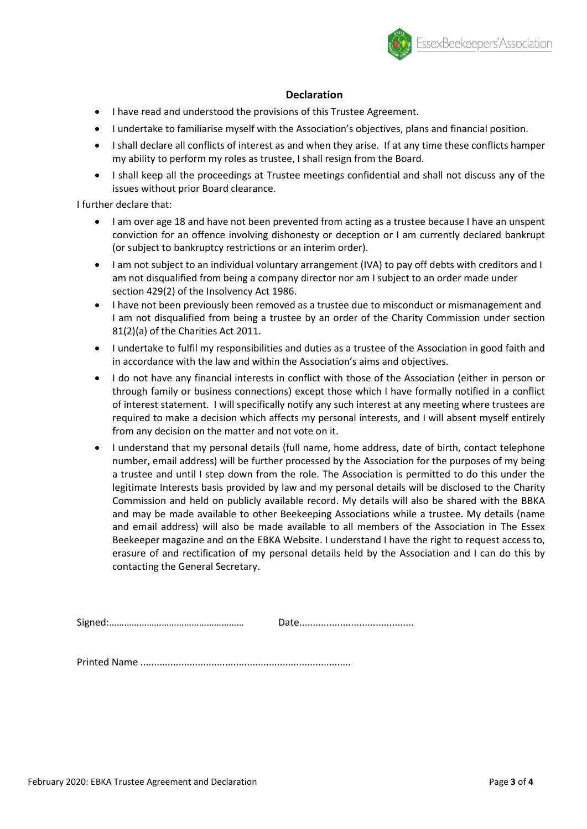

## **Declaration**

- I have read and understood the provisions of this Trustee Agreement.
- I undertake to familiarise myself with the Association's objectives, plans and financial position.
- I shall declare all conflicts of interest as and when they arise. If at any time these conflicts hamper my ability to perform my roles as trustee, I shall resign from the Board.
- I shall keep all the proceedings at Trustee meetings confidential and shall not discuss any of the issues without prior Board clearance.

I further declare that:

- I am over age 18 and have not been prevented from acting as a trustee because I have an unspent conviction for an offence involving dishonesty or deception or I am currently declared bankrupt (or subject to bankruptcy restrictions or an interim order).
- I am not subject to an individual voluntary arrangement (IVA) to pay off debts with creditors and I am not disqualified from being a company director nor am I subject to an order made under section 429(2) of the Insolvency Act 1986.
- I have not been previously been removed as a trustee due to misconduct or mismanagement and I am not disqualified from being a trustee by an order of the Charity Commission under section 81(2)(a) of the Charities Act 2011.
- I undertake to fulfil my responsibilities and duties as a trustee of the Association in good faith and in accordance with the law and within the Association's aims and objectives.
- I do not have any financial interests in conflict with those of the Association (either in person or through family or business connections) except those which I have formally notified in a conflict of interest statement. I will specifically notify any such interest at any meeting where trustees are required to make a decision which affects my personal interests, and I will absent myself entirely from any decision on the matter and not vote on it.
- I understand that my personal details (full name, home address, date of birth, contact telephone number, email address) will be further processed by the Association for the purposes of my being a trustee and until I step down from the role. The Association is permitted to do this under the legitimate Interests basis provided by law and my personal details will be disclosed to the Charity Commission and held on publicly available record. My details will also be shared with the BBKA and may be made available to other Beekeeping Associations while a trustee. My details (name and email address) will also be made available to all members of the Association in The Essex Beekeeper magazine and on the EBKA Website. I understand I have the right to request access to, erasure of and rectification of my personal details held by the Association and I can do this by contacting the General Secretary.

Signed:……………………………………………… Date..........................................

Printed Name .............................................................................